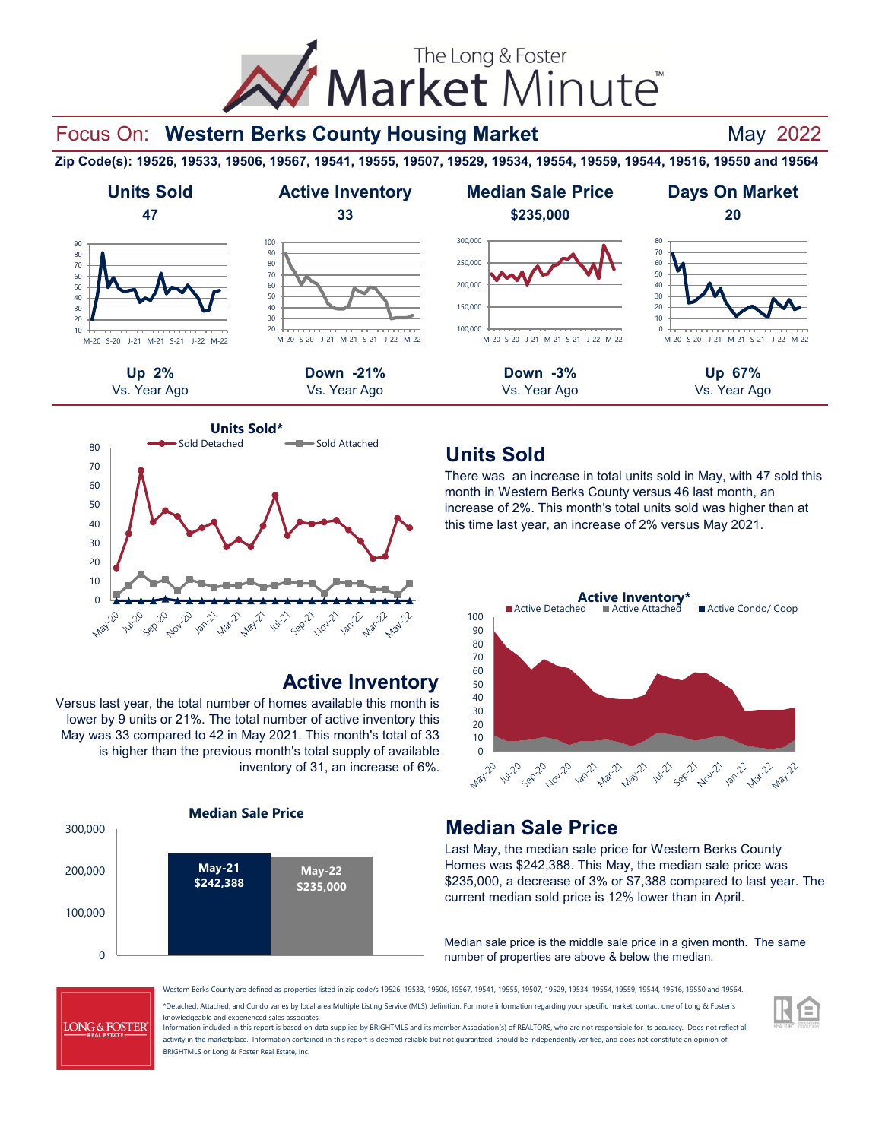# The Long & Foster Market Minute

## Focus On: Western Berks County Housing Market **Mand Market** May 2022

**Zip Code(s): 19526, 19533, 19506, 19567, 19541, 19555, 19507, 19529, 19534, 19554, 19559, 19544, 19516, 19550 and 19564**





## **Active Inventory**

Versus last year, the total number of homes available this month is lower by 9 units or 21%. The total number of active inventory this May was 33 compared to 42 in May 2021. This month's total of 33 is higher than the previous month's total supply of available inventory of 31, an increase of 6%.



## **Units Sold**

There was an increase in total units sold in May, with 47 sold this month in Western Berks County versus 46 last month, an increase of 2%. This month's total units sold was higher than at this time last year, an increase of 2% versus May 2021.



## **Median Sale Price**

Last May, the median sale price for Western Berks County Homes was \$242,388. This May, the median sale price was \$235,000, a decrease of 3% or \$7,388 compared to last year. The current median sold price is 12% lower than in April.

Median sale price is the middle sale price in a given month. The same number of properties are above & below the median.

**LONG & FOSTER** 

\*Detached, Attached, and Condo varies by local area Multiple Listing Service (MLS) definition. For more information regarding your specific market, contact one of Long & Foster's knowledgeable and experienced sales associates. Western Berks County are defined as properties listed in zip code/s 19526, 19533, 19506, 19567, 19541, 19555, 19507, 19529, 19534, 19554, 19559, 19544, 19516, 19550 and 19564.

Information included in this report is based on data supplied by BRIGHTMLS and its member Association(s) of REALTORS, who are not responsible for its accuracy. Does not reflect all activity in the marketplace. Information contained in this report is deemed reliable but not guaranteed, should be independently verified, and does not constitute an opinion of BRIGHTMLS or Long & Foster Real Estate, Inc.